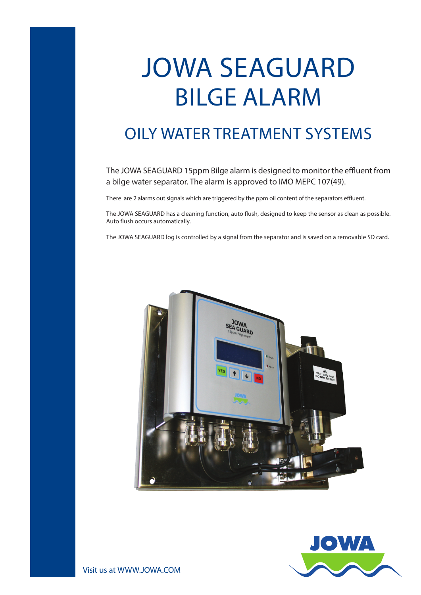## JOWA SEAGUARD BILGE ALARM

## OILY WATER TREATMENT SYSTEMS

The JOWA SEAGUARD 15ppm Bilge alarm is designed to monitor the effluent from a bilge water separator. The alarm is approved to IMO MEPC 107(49).

There are 2 alarms out signals which are triggered by the ppm oil content of the separators effluent.

The JOWA SEAGUARD has a cleaning function, auto flush, designed to keep the sensor as clean as possible. Auto flush occurs automatically.

The JOWA SEAGUARD log is controlled by a signal from the separator and is saved on a removable SD card.